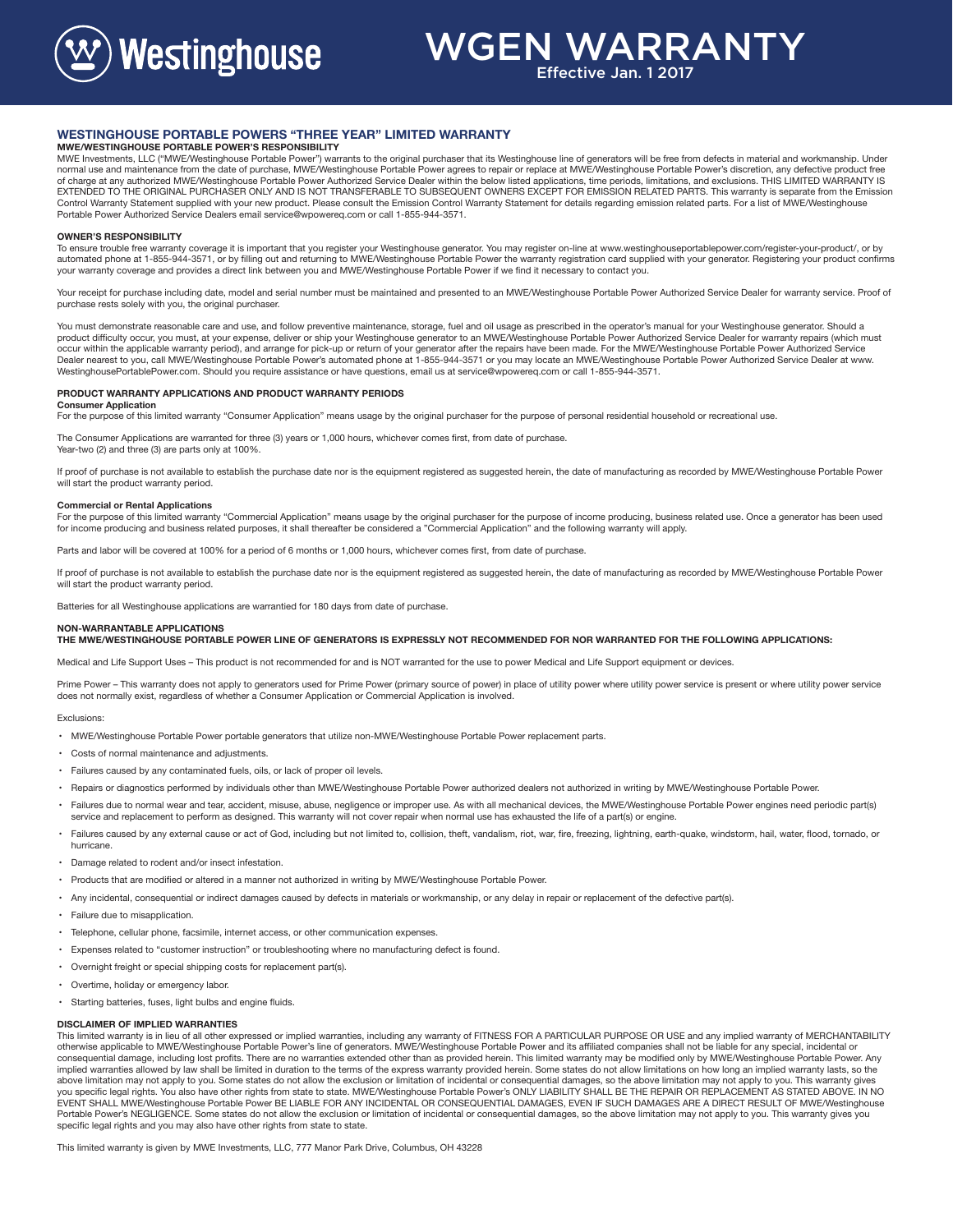**Westinghouse** 

# WGEN WARRANTY

Effective Jan. 1 2017

## **WESTINGHOUSE PORTABLE POWERS "THREE YEAR" LIMITED WARRANTY**

## **MWE/WESTINGHOUSE PORTABLE POWER'S RESPONSIBILITY**

MWE Investments, LLC ("MWE/Westinghouse Portable Power") warrants to the original purchaser that its Westinghouse line of generators will be free from defects in material and workmanship. Under<br>normal use and maintenance f of charge at any authorized MWE/Westinghouse Portable Power Authorized Service Dealer within the below listed applications, time periods, limitations, and exclusions. THIS LIMITED WARRANTY IS EXTENDED TO THE ORIGINAL PURCHASER ONLY AND IS NOT TRANSFERABLE TO SUBSEQUENT OWNERS EXCEPT FOR EMISSION RELATED PARTS. This warranty is separate from the Emission Control Warranty Statement supplied with your new product. Please consult the Emission Control Warranty Statement for details regarding emission related parts. For a list of MWE/Westinghouse Portable Power Authorized Service Dealers email service@wpowereq.com or call 1-855-944-3571.

### **OWNER'S RESPONSIBILITY**

To ensure trouble free warranty coverage it is important that you register your Westinghouse generator. You may register on-line at www.westinghouseportablepower.com/register-your-product/, or by<br>automated phone at 1-855-9 your warranty coverage and provides a direct link between you and MWE/Westinghouse Portable Power if we find it necessary to contact you.

Your receipt for purchase including date, model and serial number must be maintained and presented to an MWE/Westinghouse Portable Power Authorized Service Dealer for warranty service. Proof of purchase rests solely with you, the original purchaser.

You must demonstrate reasonable care and use, and follow preventive maintenance, storage, fuel and oil usage as prescribed in the operator's manual for your Westinghouse generator. Should a<br>product difficulty occur, you mu occur within the applicable warranty period), and arrange for pick-up or return of your generator after the repairs have been made. For the MWE/Westinghouse Portable Power Authorized Service Dealer nearest to you, call MWE/Westinghouse Portable Power's automated phone at 1-855-944-3571 or you may locate an MWE/Westinghouse Portable Power Authorized Service Dealer at www. WestinghousePortablePower.com. Should you require assistance or have questions, email us at service@wpowereq.com or call 1-855-944-3571.

#### **PRODUCT WARRANTY APPLICATIONS AND PRODUCT WARRANTY PERIODS**

### **Consumer Application**

For the purpose of this limited warranty "Consumer Application" means usage by the original purchaser for the purpose of personal residential household or recreational use.

The Consumer Applications are warranted for three (3) years or 1,000 hours, whichever comes first, from date of purchase Year-two (2) and three (3) are parts only at 100%.

If proof of purchase is not available to establish the purchase date nor is the equipment registered as suggested herein, the date of manufacturing as recorded by MWE/Westinghouse Portable Power will start the product warranty period.

## **Commercial or Rental Applications**

For the purpose of this limited warranty "Commercial Application" means usage by the original purchaser for the purpose of income producing, business related use. Once a generator has been used for income producing and business related purposes, it shall thereafter be considered a "Commercial Application" and the following warranty will apply.

Parts and labor will be covered at 100% for a period of 6 months or 1,000 hours, whichever comes first, from date of purchase

If proof of purchase is not available to establish the purchase date nor is the equipment registered as suggested herein, the date of manufacturing as recorded by MWE/Westinghouse Portable Power will start the product warranty period.

Batteries for all Westinghouse applications are warrantied for 180 days from date of purchase.

## **NON-WARRANTABLE APPLICATIONS**

**THE MWE/WESTINGHOUSE PORTABLE POWER LINE OF GENERATORS IS EXPRESSLY NOT RECOMMENDED FOR NOR WARRANTED FOR THE FOLLOWING APPLICATIONS:**

Medical and Life Support Uses – This product is not recommended for and is NOT warranted for the use to power Medical and Life Support equipment or devices.

Prime Power - This warranty does not apply to generators used for Prime Power (primary source of power) in place of utility power where utility power service is present or where utility power service does not normally exist, regardless of whether a Consumer Application or Commercial Application is involved.

#### Exclusions:

- MWE/Westinghouse Portable Power portable generators that utilize non-MWE/Westinghouse Portable Power replacement parts.
- Costs of normal maintenance and adjustments.
- Failures caused by any contaminated fuels, oils, or lack of proper oil levels.
- Repairs or diagnostics performed by individuals other than MWE/Westinghouse Portable Power authorized dealers not authorized in writing by MWE/Westinghouse Portable Power.
- Failures due to normal wear and tear, accident, misuse, abuse, negligence or improper use. As with all mechanical devices, the MWE/Westinghouse Portable Power engines need periodic part(s) service and replacement to perform as designed. This warranty will not cover repair when normal use has exhausted the life of a part(s) or engine.
- Failures caused by any external cause or act of God, including but not limited to, collision, theft, vandalism, riot, war, fire, freezing, lightning, earth-quake, windstorm, hail, water, flood, tornado, or hurricane.
- Damage related to rodent and/or insect infestation.
- Products that are modified or altered in a manner not authorized in writing by MWE/Westinghouse Portable Power.
- Any incidental, consequential or indirect damages caused by defects in materials or workmanship, or any delay in repair or replacement of the defective part(s).
- Failure due to misapplication.
- Telephone, cellular phone, facsimile, internet access, or other communication expenses.
- Expenses related to "customer instruction" or troubleshooting where no manufacturing defect is found.
- Overnight freight or special shipping costs for replacement part(s).
- Overtime, holiday or emergency labor.
- Starting batteries, fuses, light bulbs and engine fluids.

### **DISCLAIMER OF IMPLIED WARRANTIES**

This limited warranty is in lieu of all other expressed or implied warranties, including any warranty of FITNESS FOR A PARTICULAR PURPOSE OR USE and any implied warranty of MERCHANTABILITY otherwise applicable to MWE/Westinghouse Portable Power's line of generators. MWE/Westinghouse Portable Power and its affiliated companies shall not be liable for any special, incidental or consequential damage, including lost profits. There are no warranties extended other than as provided herein. This limited warranty may be modified only by MWE/Westinghouse Portable Power. Any implied warranties allowed by law shall be limited in duration to the terms of the express warranty provided herein. Some states do not allow limitations on how long an implied warranty lasts, so the<br>above limitation may n you specific legal rights. You also have other rights from state to state. MWE/Westinghouse Portable Power's ONLY LIABILITY SHALL BE THE REPAIR OR REPLACEMENT AS STATED ABOVE. IN NO EVENT SHALL MWE/Westinghouse Portable Power BE LIABLE FOR ANY INCIDENTAL OR CONSEQUENTIAL DAMAGES, EVEN IF SUCH DAMAGES ARE A DIRECT RESULT OF MWE/Westinghouse Portable Power's NEGLIGENCE. Some states do not allow the exclusion or limitation of incidental or consequential damages, so the above limitation may not apply to you. This warranty gives you specific legal rights and you may also have other rights from state to state.

This limited warranty is given by MWE Investments, LLC, 777 Manor Park Drive, Columbus, OH 43228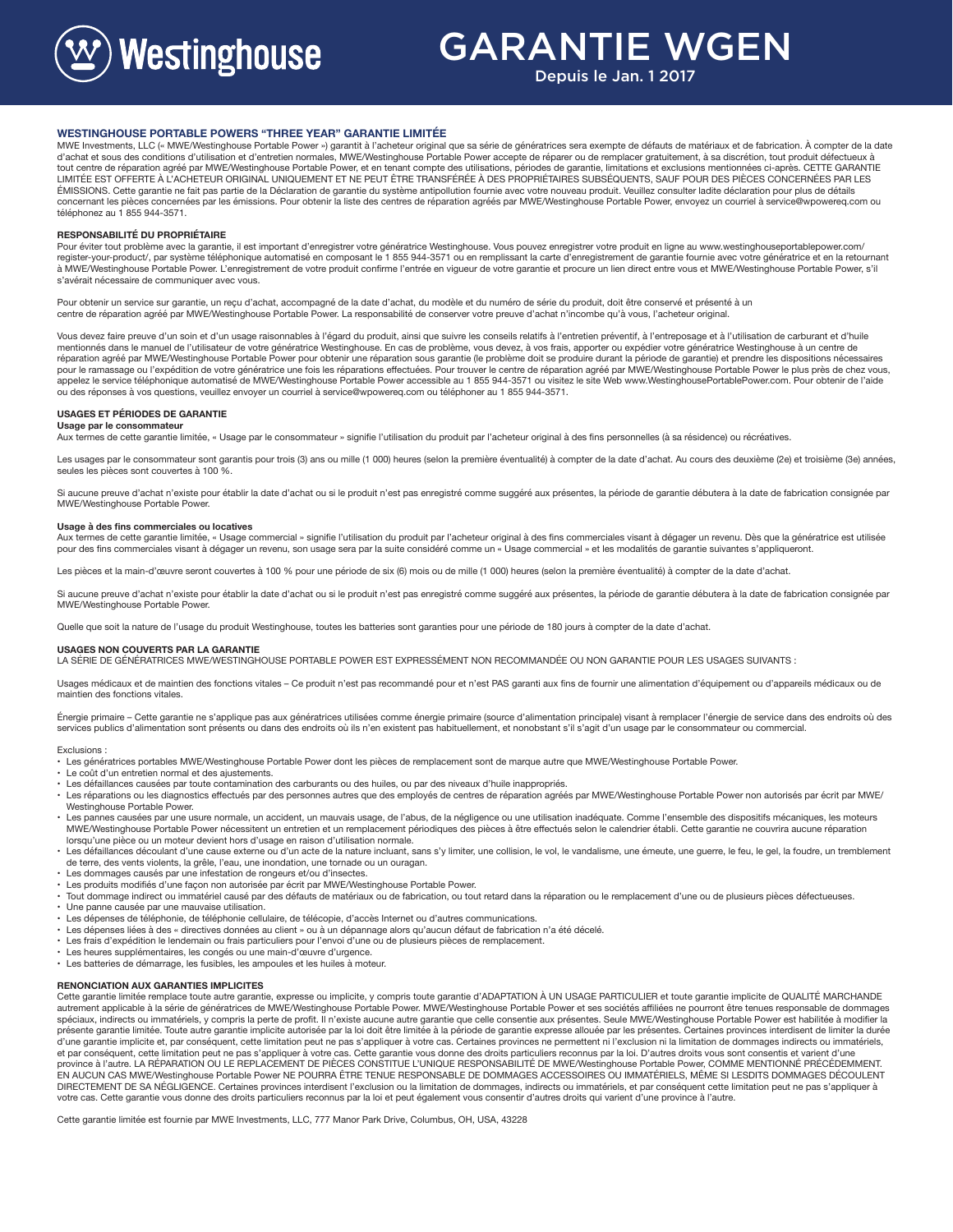

## GARANTIE WGEN

Depuis le Jan. 1 2017

#### **WESTINGHOUSE PORTABLE POWERS "THREE YEAR" GARANTIE LIMITÉE**

MWE Investments, LLC (« MWE/Westinghouse Portable Power ») garantit à l'acheteur original que sa série de génératrices sera exempte de défauts de matériaux et de fabrication. A compter de la date<br>d'achat et sous des condit tout centre de réparation agréé par MWE/Westinghouse Portable Power, et en tenant compte des utilisations, périodes de garantie, limitations et exclusions mentionnées ci-après. CETTE GARANTIE LIMITÉE EST OFFERTE À L'ACHETEUR ORIGINAL UNIQUEMENT ET NE PEUT ÊTRE TRANSFÉRÉE À DES PROPRIÉTAIRES SUBSÉQUENTS, SAUF POUR DES PIÈCES CONCERNÉES PAR LES ÉMISSIONS. Cette garantie ne fait pas partie de la Déclaration de garantie du système antipollution fournie avec votre nouveau produit. Veuillez consulter ladite déclaration pour plus de détails concernant les pièces concernées par les émissions. Pour obtenir la liste des centres de réparation agréés par MWE/Westinghouse Portable Power, envoyez un courriel à service@wpowereq.com ou téléphonez au 1 855 944-3571.

#### **RESPONSABILITÉ DU PROPRIÉTAIRE**

Pour éviter tout problème avec la garantie, il est important d'enregistrer votre génératrice Westinghouse. Vous pouvez enregistrer votre produit en ligne au www.westinghouseportablepower.com/ register-your-product/, par système téléphonique automatisé en composant le 1 855 944-3571 ou en remplissant la carte d'enregistrement de garantie fournie avec votre génératrice et en la retournant à MWE/Westinghouse Portable Power. L'enregistrement de votre produit confirme l'entrée en vigueur de votre garantie et procure un lien direct entre vous et MWE/Westinghouse Portable Power, s'il s'avérait nécessaire de communiquer avec vous.

Pour obtenir un service sur garantie, un reçu d'achat, accompagné de la date d'achat, du modèle et du numéro de série du produit, doit être conservé et présenté à un centre de réparation agréé par MWE/Westinghouse Portable Power. La responsabilité de conserver votre preuve d'achat n'incombe qu'à vous, l'acheteur original.

Vous devez faire preuve d'un soin et d'un usage raisonnables à l'égard du produit, ainsi que suivre les conseils relatifs à l'entretien préventif, à l'entreposage et à l'utilisation de carburant et d'huile mentionnés dans le manuel de l'utilisateur de votre génératrice Westinghouse. En cas de problème, vous devez, à vos frais, apporter ou expédier votre génératrice Westinghouse à un centre de<br>réparation agréé par MWE/Westing pour le ramassage ou l'expédition de votre génératrice une fois les réparations effectuées. Pour trouver le centre de réparation agréé par MWE/Westinghouse Portable Power le plus près de chez vous, appelez le service téléphonique automatisé de MWE/Westinghouse Portable Power accessible au 1 855 944-3571 ou visitez le site Web www.WestinghousePortablePower.com. Pour obtenir de l'aide ou des réponses à vos questions, veuillez envoyer un courriel à service@wpowereq.com ou téléphoner au 1 855 944-3571.

#### **USAGES ET PÉRIODES DE GARANTIE Usage par le consommateur**

Aux termes de cette garantie limitée, « Usage par le consommateur » signifie l'utilisation du produit par l'acheteur original à des fins personnelles (à sa résidence) ou récréatives.

Les usages par le consommateur sont garantis pour trois (3) ans ou mille (1 000) heures (selon la première éventualité) à compter de la date d'achat. Au cours des deuxième (2e) et troisième (3e) années, seules les pièces sont couvertes à 100 %.

Si aucune preuve d'achat n'existe pour établir la date d'achat ou si le produit n'est pas enregistré comme suggéré aux présentes, la période de garantie débutera à la date de fabrication consignée par MWE/Westinghouse Portable Power.

#### **Usage à des fins commerciales ou locatives**

Aux termes de cette garantie limitée, « Usage commercial » signifie l'utilisation du produit par l'acheteur original à des fins commerciales visant à dégager un revenu. Dès que la génératrice est utilisée pour des fins commerciales visant à dégager un revenu, son usage sera par la suite considéré comme un « Usage commercial » et les modalités de garantie suivantes s'appliqueront.

Les pièces et la main-d'œuvre seront couvertes à 100 % pour une période de six (6) mois ou de mille (1 000) heures (selon la première éventualité) à compter de la date d'achat.

Si aucune preuve d'achat n'existe pour établir la date d'achat ou si le produit n'est pas enregistré comme suggéré aux présentes, la période de garantie débutera à la date de fabrication consignée par MWE/Westinghouse Portable Power.

Quelle que soit la nature de l'usage du produit Westinghouse, toutes les batteries sont garanties pour une période de 180 jours à compter de la date d'achat.

## **USAGES NON COUVERTS PAR LA GARANTIE**

LA SÉRIE DE GÉNÉRATRICES MWE/WESTINGHOUSE PORTABLE POWER EST EXPRESSÉMENT NON RECOMMANDÉE OU NON GARANTIE POUR LES USAGES SUIVANTS :

Usages médicaux et de maintien des fonctions vitales - Ce produit n'est pas recommandé pour et n'est PAS garanti aux fins de fournir une alimentation d'équipement ou d'appareils médicaux ou de maintien des fonctions vitales.

Énergie primaire – Cette garantie ne s'applique pas aux génératrices utilisées comme énergie primaire (source d'alimentation principale) visant à remplacer l'énergie de service dans des endroits où des services publics d'alimentation sont présents ou dans des endroits où ils n'en existent pas habituellement, et nonobstant s'il s'agit d'un usage par le consommateur ou commercial.

#### Exclusions :

• Les génératrices portables MWE/Westinghouse Portable Power dont les pièces de remplacement sont de marque autre que MWE/Westinghouse Portable Power.

- Le coût d'un entretien normal et des ajustements.
- Les défaillances causées par toute contamination des carburants ou des huiles, ou par des niveaux d'huile inappropriés.
- Les réparations ou les diagnostics effectués par des personnes autres que des employés de centres de réparation agréés par MWE/Westinghouse Portable Power non autorisés par écrit par MWE/ Westinghouse Portable Power.
- Les pannes causées par une usure normale, un accident, un mauvais usage, de l'abus, de la négligence ou une utilisation inadéquate. Comme l'ensemble des dispositifs mécaniques, les moteurs MWE/Westinghouse Portable Power nécessitent un entretien et un remplacement périodiques des pièces à être effectués selon le calendrier établi. Cette garantie ne couvrira aucune réparation lorsqu'une pièce ou un moteur devient hors d'usage en raison d'utilisation normale.
- Les défaillances découlant d'une cause externe ou d'un acte de la nature incluant, sans s'y limiter, une collision, le vol, le vandalisme, une émeute, une guerre, le feu, le gel, la foudre, un tremblement de terre, des vents violents, la grêle, l'eau, une inondation, une tornade ou un ouragan.
- Les dommages causés par une infestation de rongeurs et/ou d'insectes.
- Les produits modifiés d'une façon non autorisée par écrit par MWE/Westinghouse Portable Power.
- Tout dommage indirect ou immatériel causé par des défauts de matériaux ou de fabrication, ou tout retard dans la réparation ou le remplacement d'une ou de plusieurs pièces défectueuses.
- Une panne causée par une mauvaise utilisation.
- Les dépenses de téléphonie, de téléphonie cellulaire, de télécopie, d'accès Internet ou d'autres communications.
- 
- Les dépenses liées à des « directives données au client » ou à un dépannage alors qu'aucun défaut de fabrication n'a été décelé.<br>• Les frais d'expédition le lendemain ou frais particuliers pour l'envoi d'une ou de plusie
- Les heures supplémentaires, les congés ou une main-d'œuvre d'urgence.
- Les batteries de démarrage, les fusibles, les ampoules et les huiles à moteur.

### **RENONCIATION AUX GARANTIES IMPLICITES**

Cette garantie limitée remplace toute autre garantie, expresse ou implicite, y compris toute garantie d'ADAPTATION À UN USAGE PARTICULIER et toute garantie implicite de QUALITÉ MARCHANDE autrement applicable à la série de génératrices de MWE/Westinghouse Portable Power. MWE/Westinghouse Portable Power et ses sociétés affiliées ne pourront être tenues responsable de dommages spéciaux, indirects ou immatériels, y compris la perte de profit. Il n'existe aucune autre garantie que celle consentie aux présentes. Seule MWE/Westinghouse Portable Power est habilitée à modifier la<br>présente garantie lim d'une garantie implicite et, par conséquent, cette limitation peut ne pas s'appliquer à votre cas. Certaines provinces ne permettent ni l'exclusion ni la limitation de dommages indirects ou immatériels,<br>et par conséquent, province à l'autre. LA RÉPARATION OU LE REPLACEMENT DE PIÈCES CONSTITUE L'UNIQUE RESPONSABILITÉ DE MWE/Westinghouse Portable Power, COMME MENTIONNÉ PRÉCÉDEMMENT. EN AUCUN CAS MWE/Westinghouse Portable Power NE POURRA ÊTRE TENUE RESPONSABLE DE DOMMAGES ACCESSOIRES OU IMMATÉRIELS, MÊME SI LESDITS DOMMAGES DÉCOULENT DIRECTEMENT DE SA NÉGLIGENCE. Certaines provinces interdisent l'exclusion ou la limitation de dommages, indirects ou immatériels, et par conséquent cette limitation peut ne pas s'appliquer à votre cas. Cette garantie vous donne des droits particuliers reconnus par la loi et peut également vous consentir d'autres droits qui varient d'une province à l'autre.

Cette garantie limitée est fournie par MWE Investments, LLC, 777 Manor Park Drive, Columbus, OH, USA, 43228